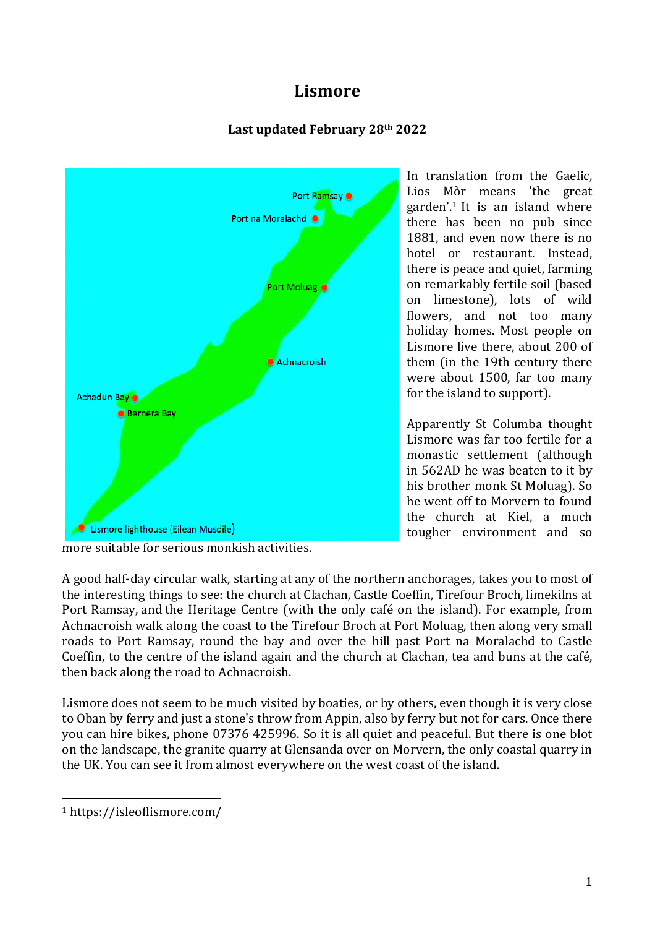# **Lismore**

# **Last updated February 28th 2022**



In translation from the Gaelic, Lios Mòr means 'the great garden'.1 It is an island where there has been no pub since 1881, and even now there is no hotel or restaurant. Instead, there is peace and quiet, farming on remarkably fertile soil (based on limestone), lots of wild flowers, and not too many holiday homes. Most people on Lismore live there, about 200 of them (in the 19th century there were about 1500, far too many for the island to support).

Apparently St Columba thought Lismore was far too fertile for a monastic settlement (although in 562AD he was beaten to it by his brother monk St Moluag). So he went off to Morvern to found the church at Kiel, a much tougher environment and so

A good half-day circular walk, starting at any of the northern anchorages, takes you to most of the interesting things to see: the church at Clachan, Castle Coeffin, Tirefour Broch, limekilns at Port Ramsay, and the Heritage Centre (with the only café on the island). For example, from Achnacroish walk along the coast to the Tirefour Broch at Port Moluag, then along very small roads to Port Ramsay, round the bay and over the hill past Port na Moralachd to Castle Coeffin, to the centre of the island again and the church at Clachan, tea and buns at the café, then back along the road to Achnacroish.

Lismore does not seem to be much visited by boaties, or by others, even though it is very close to Oban by ferry and just a stone's throw from Appin, also by ferry but not for cars. Once there you can hire bikes, phone 07376 425996. So it is all quiet and peaceful. But there is one blot on the landscape, the granite quarry at Glensanda over on Morvern, the only coastal quarry in the UK. You can see it from almost everywhere on the west coast of the island.

more suitable for serious monkish activities.

 <sup>1</sup> https://isleoflismore.com/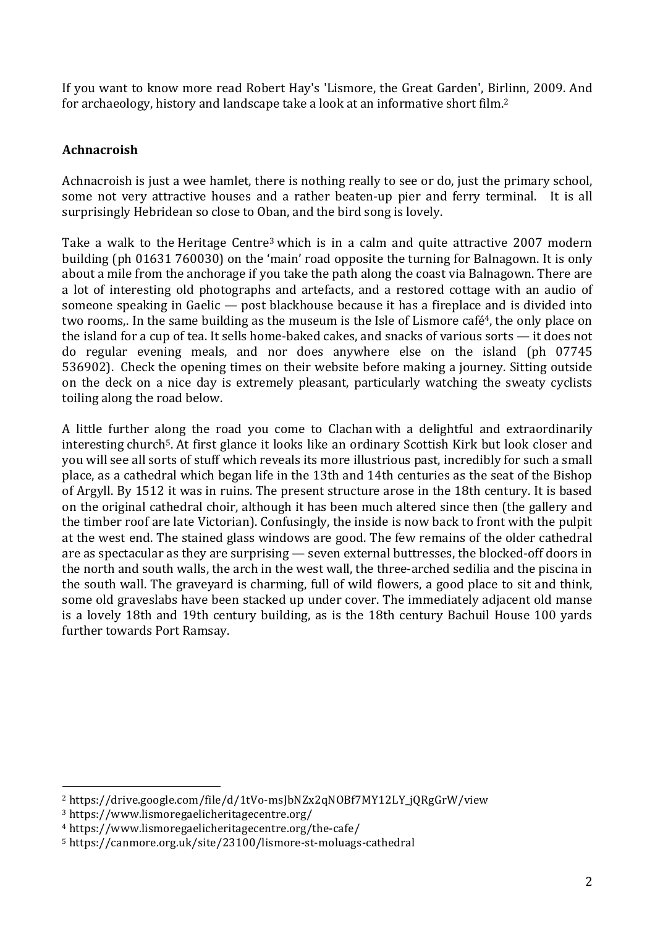If you want to know more read Robert Hay's 'Lismore, the Great Garden', Birlinn, 2009. And for archaeology, history and landscape take a look at an informative short film. 2

# **Achnacroish**

Achnacroish is just a wee hamlet, there is nothing really to see or do, just the primary school, some not very attractive houses and a rather beaten-up pier and ferry terminal. It is all surprisingly Hebridean so close to Oban, and the bird song is lovely.

Take a walk to the Heritage Centre<sup>3</sup> which is in a calm and quite attractive 2007 modern building (ph 01631 760030) on the 'main' road opposite the turning for Balnagown. It is only about a mile from the anchorage if you take the path along the coast via Balnagown. There are a lot of interesting old photographs and artefacts, and a restored cottage with an audio of someone speaking in Gaelic — post blackhouse because it has a fireplace and is divided into two rooms. In the same building as the museum is the Isle of Lismore café<sup>4</sup>, the only place on the island for a cup of tea. It sells home-baked cakes, and snacks of various sorts — it does not do regular evening meals, and nor does anywhere else on the island (ph 07745 536902). Check the opening times on their website before making a journey. Sitting outside on the deck on a nice day is extremely pleasant, particularly watching the sweaty cyclists toiling along the road below.

A little further along the road you come to Clachan with a delightful and extraordinarily interesting church<sup>5</sup>. At first glance it looks like an ordinary Scottish Kirk but look closer and you will see all sorts of stuff which reveals its more illustrious past, incredibly for such a small place, as a cathedral which began life in the 13th and 14th centuries as the seat of the Bishop of Argyll. By 1512 it was in ruins. The present structure arose in the 18th century. It is based on the original cathedral choir, although it has been much altered since then (the gallery and the timber roof are late Victorian). Confusingly, the inside is now back to front with the pulpit at the west end. The stained glass windows are good. The few remains of the older cathedral are as spectacular as they are surprising — seven external buttresses, the blocked-off doors in the north and south walls, the arch in the west wall, the three-arched sedilia and the piscina in the south wall. The graveyard is charming, full of wild flowers, a good place to sit and think, some old graveslabs have been stacked up under cover. The immediately adjacent old manse is a lovely 18th and 19th century building, as is the 18th century Bachuil House 100 yards further towards Port Ramsay.

 

<sup>2</sup> https://drive.google.com/file/d/1tVo-msJbNZx2qNOBf7MY12LY\_jQRgGrW/view

<sup>3</sup> https://www.lismoregaelicheritagecentre.org/

<sup>4</sup> https://www.lismoregaelicheritagecentre.org/the-cafe/

<sup>5</sup> https://canmore.org.uk/site/23100/lismore-st-moluags-cathedral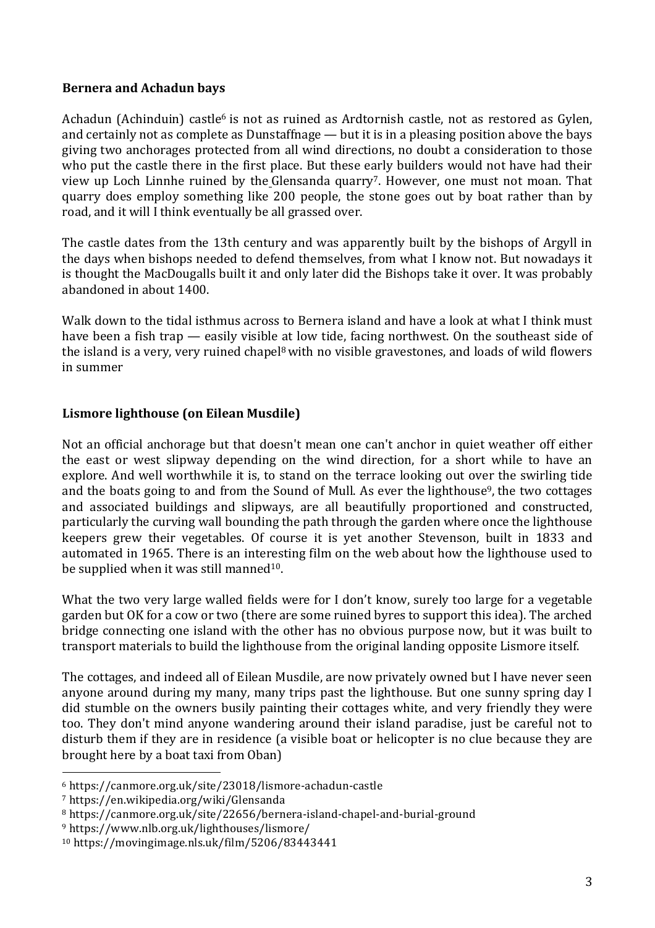#### **Bernera and Achadun bays**

Achadun (Achinduin) castle<sup>6</sup> is not as ruined as Ardtornish castle, not as restored as Gylen, and certainly not as complete as Dunstaffnage — but it is in a pleasing position above the bays giving two anchorages protected from all wind directions, no doubt a consideration to those who put the castle there in the first place. But these early builders would not have had their view up Loch Linnhe ruined by the Glensanda quarry7. However, one must not moan. That quarry does employ something like 200 people, the stone goes out by boat rather than by road, and it will I think eventually be all grassed over.

The castle dates from the 13th century and was apparently built by the bishops of Argyll in the days when bishops needed to defend themselves, from what I know not. But nowadays it is thought the MacDougalls built it and only later did the Bishops take it over. It was probably abandoned in about 1400.

Walk down to the tidal isthmus across to Bernera island and have a look at what I think must have been a fish trap — easily visible at low tide, facing northwest. On the southeast side of the island is a very, very ruined chapel<sup>8</sup> with no visible gravestones, and loads of wild flowers in summer

#### **Lismore lighthouse (on Eilean Musdile)**

Not an official anchorage but that doesn't mean one can't anchor in quiet weather off either the east or west slipway depending on the wind direction, for a short while to have an explore. And well worthwhile it is, to stand on the terrace looking out over the swirling tide and the boats going to and from the Sound of Mull. As ever the lighthouse<sup>9</sup>, the two cottages and associated buildings and slipways, are all beautifully proportioned and constructed, particularly the curving wall bounding the path through the garden where once the lighthouse keepers grew their vegetables. Of course it is yet another Stevenson, built in 1833 and automated in 1965. There is an interesting film on the web about how the lighthouse used to be supplied when it was still manned<sup>10</sup>.

What the two very large walled fields were for I don't know, surely too large for a vegetable garden but OK for a cow or two (there are some ruined byres to support this idea). The arched bridge connecting one island with the other has no obvious purpose now, but it was built to transport materials to build the lighthouse from the original landing opposite Lismore itself.

The cottages, and indeed all of Eilean Musdile, are now privately owned but I have never seen anyone around during my many, many trips past the lighthouse. But one sunny spring day I did stumble on the owners busily painting their cottages white, and very friendly they were too. They don't mind anyone wandering around their island paradise, just be careful not to disturb them if they are in residence (a visible boat or helicopter is no clue because they are brought here by a boat taxi from Oban)

 

<sup>6</sup> https://canmore.org.uk/site/23018/lismore-achadun-castle

<sup>7</sup> https://en.wikipedia.org/wiki/Glensanda

<sup>8</sup> https://canmore.org.uk/site/22656/bernera-island-chapel-and-burial-ground

<sup>9</sup> https://www.nlb.org.uk/lighthouses/lismore/

<sup>10</sup> https://movingimage.nls.uk/film/5206/83443441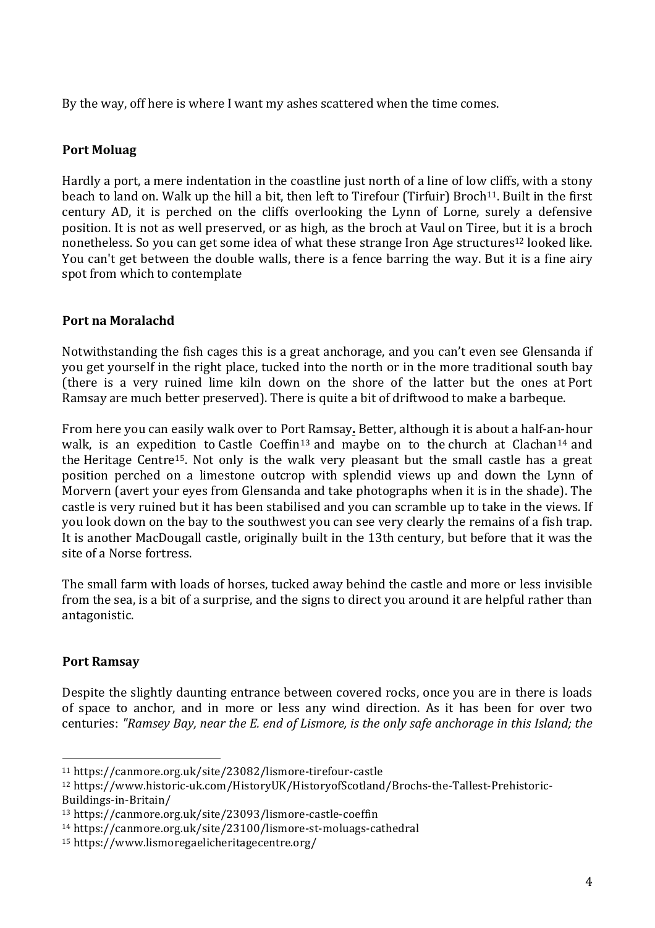By the way, off here is where I want my ashes scattered when the time comes.

## **Port Moluag**

Hardly a port, a mere indentation in the coastline just north of a line of low cliffs, with a stony beach to land on. Walk up the hill a bit, then left to Tirefour (Tirfuir) Broch<sup>11</sup>. Built in the first century AD, it is perched on the cliffs overlooking the Lynn of Lorne, surely a defensive position. It is not as well preserved, or as high, as the broch at Vaul on Tiree, but it is a broch nonetheless. So you can get some idea of what these strange Iron Age structures<sup>12</sup> looked like. You can't get between the double walls, there is a fence barring the way. But it is a fine airy spot from which to contemplate

## **Port na Moralachd**

Notwithstanding the fish cages this is a great anchorage, and you can't even see Glensanda if you get yourself in the right place, tucked into the north or in the more traditional south bay (there is a very ruined lime kiln down on the shore of the latter but the ones at Port Ramsay are much better preserved). There is quite a bit of driftwood to make a barbeque.

From here you can easily walk over to Port Ramsay**.** Better, although it is about a half-an-hour walk, is an expedition to Castle Coeffin<sup>13</sup> and maybe on to the church at Clachan<sup>14</sup> and the Heritage Centre<sup>15</sup>. Not only is the walk very pleasant but the small castle has a great position perched on a limestone outcrop with splendid views up and down the Lynn of Morvern (avert your eyes from Glensanda and take photographs when it is in the shade). The castle is very ruined but it has been stabilised and you can scramble up to take in the views. If you look down on the bay to the southwest you can see very clearly the remains of a fish trap. It is another MacDougall castle, originally built in the 13th century, but before that it was the site of a Norse fortress.

The small farm with loads of horses, tucked away behind the castle and more or less invisible from the sea, is a bit of a surprise, and the signs to direct you around it are helpful rather than antagonistic.

### **Port Ramsay**

 

Despite the slightly daunting entrance between covered rocks, once you are in there is loads of space to anchor, and in more or less any wind direction. As it has been for over two centuries: *"Ramsey Bay, near the E. end of Lismore, is the only safe anchorage in this Island; the*

<sup>11</sup> https://canmore.org.uk/site/23082/lismore-tirefour-castle

<sup>12</sup> https://www.historic-uk.com/HistoryUK/HistoryofScotland/Brochs-the-Tallest-Prehistoric-Buildings-in-Britain/

<sup>13</sup> https://canmore.org.uk/site/23093/lismore-castle-coeffin

<sup>14</sup> https://canmore.org.uk/site/23100/lismore-st-moluags-cathedral

<sup>15</sup> https://www.lismoregaelicheritagecentre.org/